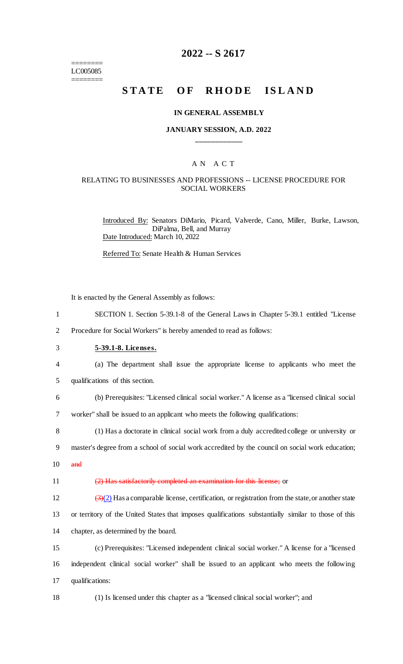======== LC005085 ========

## **2022 -- S 2617**

# **STATE OF RHODE ISLAND**

#### **IN GENERAL ASSEMBLY**

#### **JANUARY SESSION, A.D. 2022 \_\_\_\_\_\_\_\_\_\_\_\_**

### A N A C T

### RELATING TO BUSINESSES AND PROFESSIONS -- LICENSE PROCEDURE FOR SOCIAL WORKERS

Introduced By: Senators DiMario, Picard, Valverde, Cano, Miller, Burke, Lawson, DiPalma, Bell, and Murray Date Introduced: March 10, 2022

Referred To: Senate Health & Human Services

It is enacted by the General Assembly as follows:

- 1 SECTION 1. Section 5-39.1-8 of the General Laws in Chapter 5-39.1 entitled "License
- 2 Procedure for Social Workers" is hereby amended to read as follows:
- 3 **5-39.1-8. Licenses.**
- 4 (a) The department shall issue the appropriate license to applicants who meet the
- 5 qualifications of this section.
- 6 (b) Prerequisites: "Licensed clinical social worker." A license as a "licensed clinical social 7 worker" shall be issued to an applicant who meets the following qualifications:

8 (1) Has a doctorate in clinical social work from a duly accredited college or university or 9 master's degree from a school of social work accredited by the council on social work education;

 $10$  and

11 (2) Has satisfactorily completed an examination for this license; or

12  $\left(\frac{3}{2}\right)$  Has a comparable license, certification, or registration from the state, or another state

13 or territory of the United States that imposes qualifications substantially similar to those of this 14 chapter, as determined by the board.

15 (c) Prerequisites: "Licensed independent clinical social worker." A license for a "licensed 16 independent clinical social worker" shall be issued to an applicant who meets the following 17 qualifications:

18 (1) Is licensed under this chapter as a "licensed clinical social worker"; and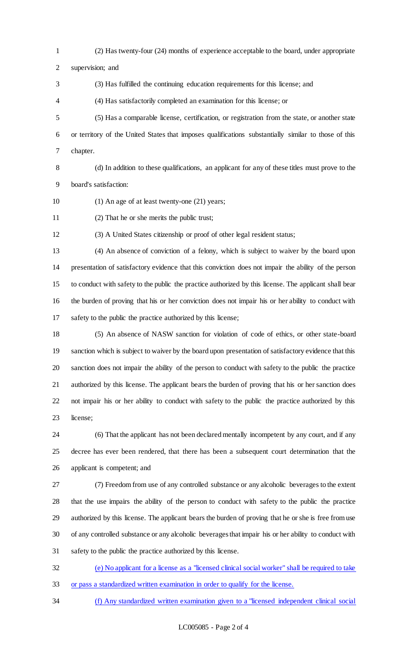(2) Has twenty-four (24) months of experience acceptable to the board, under appropriate

supervision; and

(3) Has fulfilled the continuing education requirements for this license; and

(4) Has satisfactorily completed an examination for this license; or

- (5) Has a comparable license, certification, or registration from the state, or another state or territory of the United States that imposes qualifications substantially similar to those of this chapter.
- 

 (d) In addition to these qualifications, an applicant for any of these titles must prove to the board's satisfaction:

- (1) An age of at least twenty-one (21) years;
- (2) That he or she merits the public trust;

(3) A United States citizenship or proof of other legal resident status;

 (4) An absence of conviction of a felony, which is subject to waiver by the board upon presentation of satisfactory evidence that this conviction does not impair the ability of the person to conduct with safety to the public the practice authorized by this license. The applicant shall bear the burden of proving that his or her conviction does not impair his or her ability to conduct with safety to the public the practice authorized by this license;

 (5) An absence of NASW sanction for violation of code of ethics, or other state-board sanction which is subject to waiver by the board upon presentation of satisfactory evidence that this sanction does not impair the ability of the person to conduct with safety to the public the practice authorized by this license. The applicant bears the burden of proving that his or her sanction does not impair his or her ability to conduct with safety to the public the practice authorized by this license;

 (6) That the applicant has not been declared mentally incompetent by any court, and if any decree has ever been rendered, that there has been a subsequent court determination that the applicant is competent; and

 (7) Freedom from use of any controlled substance or any alcoholic beverages to the extent that the use impairs the ability of the person to conduct with safety to the public the practice authorized by this license. The applicant bears the burden of proving that he or she is free from use of any controlled substance or any alcoholic beverages that impair his or her ability to conduct with safety to the public the practice authorized by this license.

 (e) No applicant for a license as a "licensed clinical social worker" shall be required to take or pass a standardized written examination in order to qualify for the license.

(f) Any standardized written examination given to a "licensed independent clinical social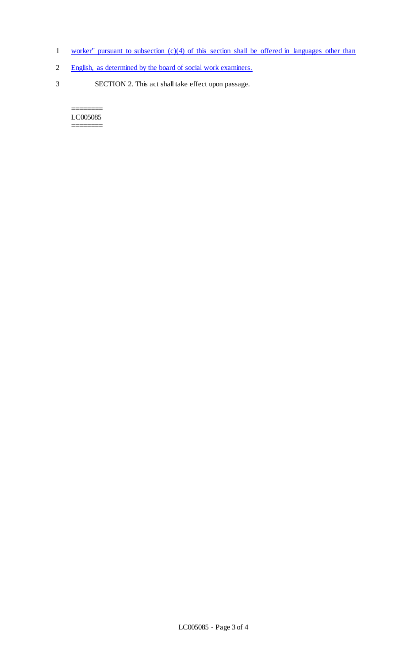- 1 worker" pursuant to subsection (c)(4) of this section shall be offered in languages other than
- 2 English, as determined by the board of social work examiners.
- 3 SECTION 2. This act shall take effect upon passage.

======== LC005085 ========